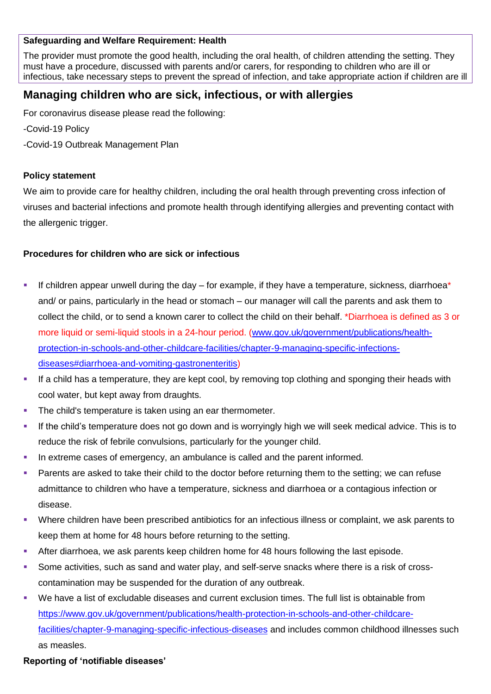#### **Safeguarding and Welfare Requirement: Health**

The provider must promote the good health, including the oral health, of children attending the setting. They must have a procedure, discussed with parents and/or carers, for responding to children who are ill or infectious, take necessary steps to prevent the spread of infection, and take appropriate action if children are ill

# **Managing children who are sick, infectious, or with allergies**

For coronavirus disease please read the following:

-Covid-19 Policy

-Covid-19 Outbreak Management Plan

#### **Policy statement**

We aim to provide care for healthy children, including the oral health through preventing cross infection of viruses and bacterial infections and promote health through identifying allergies and preventing contact with the allergenic trigger.

## **Procedures for children who are sick or infectious**

- If children appear unwell during the day for example, if they have a temperature, sickness, diarrhoea\* and/ or pains, particularly in the head or stomach – our manager will call the parents and ask them to collect the child, or to send a known carer to collect the child on their behalf. \*Diarrhoea is defined as 3 or more liquid or semi-liquid stools in a 24-hour period. [\(www.gov.uk/government/publications/health](http://www.gov.uk/government/publications/health-protection-in-schools-and-other-childcare-facilities/chapter-9-managing-specific-infections-diseases#diarrhoea-and-vomiting-gastronenteritis)[protection-in-schools-and-other-childcare-facilities/chapter-9-managing-specific-infections](http://www.gov.uk/government/publications/health-protection-in-schools-and-other-childcare-facilities/chapter-9-managing-specific-infections-diseases#diarrhoea-and-vomiting-gastronenteritis)[diseases#diarrhoea-and-vomiting-gastronenteritis\)](http://www.gov.uk/government/publications/health-protection-in-schools-and-other-childcare-facilities/chapter-9-managing-specific-infections-diseases#diarrhoea-and-vomiting-gastronenteritis)
- If a child has a temperature, they are kept cool, by removing top clothing and sponging their heads with cool water, but kept away from draughts.
- The child's temperature is taken using an ear thermometer.
- If the child's temperature does not go down and is worryingly high we will seek medical advice. This is to reduce the risk of febrile convulsions, particularly for the younger child.
- In extreme cases of emergency, an ambulance is called and the parent informed.
- Parents are asked to take their child to the doctor before returning them to the setting; we can refuse admittance to children who have a temperature, sickness and diarrhoea or a contagious infection or disease.
- Where children have been prescribed antibiotics for an infectious illness or complaint, we ask parents to keep them at home for 48 hours before returning to the setting.
- After diarrhoea, we ask parents keep children home for 48 hours following the last episode.
- Some activities, such as sand and water play, and self-serve snacks where there is a risk of crosscontamination may be suspended for the duration of any outbreak.
- We have a list of excludable diseases and current exclusion times. The full list is obtainable from [https://www.gov.uk/government/publications/health-protection-in-schools-and-other-childcare](https://www.gov.uk/government/publications/health-protection-in-schools-and-other-childcare-facilities/chapter-9-managing-specific-infectious-diseases)[facilities/chapter-9-managing-specific-infectious-diseases](https://www.gov.uk/government/publications/health-protection-in-schools-and-other-childcare-facilities/chapter-9-managing-specific-infectious-diseases) and includes common childhood illnesses such as measles.

## **Reporting of 'notifiable diseases'**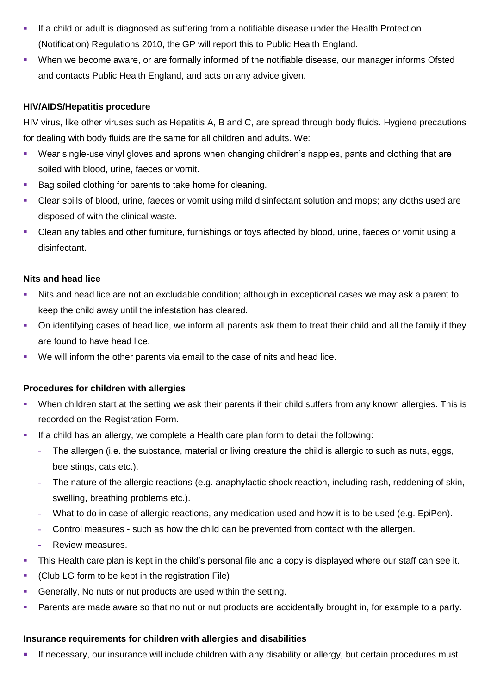- If a child or adult is diagnosed as suffering from a notifiable disease under the Health Protection (Notification) Regulations 2010, the GP will report this to Public Health England.
- When we become aware, or are formally informed of the notifiable disease, our manager informs Ofsted and contacts Public Health England, and acts on any advice given.

## **HIV/AIDS/Hepatitis procedure**

HIV virus, like other viruses such as Hepatitis A, B and C, are spread through body fluids. Hygiene precautions for dealing with body fluids are the same for all children and adults. We:

- Wear single-use vinyl gloves and aprons when changing children's nappies, pants and clothing that are soiled with blood, urine, faeces or vomit.
- Bag soiled clothing for parents to take home for cleaning.
- Clear spills of blood, urine, faeces or vomit using mild disinfectant solution and mops; any cloths used are disposed of with the clinical waste.
- Clean any tables and other furniture, furnishings or toys affected by blood, urine, faeces or vomit using a disinfectant.

#### **Nits and head lice**

- Nits and head lice are not an excludable condition; although in exceptional cases we may ask a parent to keep the child away until the infestation has cleared.
- On identifying cases of head lice, we inform all parents ask them to treat their child and all the family if they are found to have head lice.
- We will inform the other parents via email to the case of nits and head lice.

## **Procedures for children with allergies**

- When children start at the setting we ask their parents if their child suffers from any known allergies. This is recorded on the Registration Form.
- If a child has an allergy, we complete a Health care plan form to detail the following:
	- **-** The allergen (i.e. the substance, material or living creature the child is allergic to such as nuts, eggs, bee stings, cats etc.).
	- **-** The nature of the allergic reactions (e.g. anaphylactic shock reaction, including rash, reddening of skin, swelling, breathing problems etc.).
	- **-** What to do in case of allergic reactions, any medication used and how it is to be used (e.g. EpiPen).
	- **-** Control measures such as how the child can be prevented from contact with the allergen.
	- **-** Review measures.
- This Health care plan is kept in the child's personal file and a copy is displayed where our staff can see it.
- (Club LG form to be kept in the registration File)
- Generally, No nuts or nut products are used within the setting.
- Parents are made aware so that no nut or nut products are accidentally brought in, for example to a party.

#### **Insurance requirements for children with allergies and disabilities**

If necessary, our insurance will include children with any disability or allergy, but certain procedures must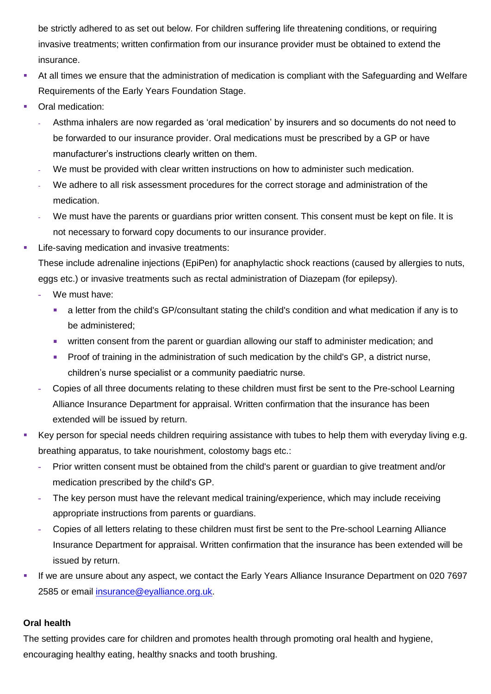be strictly adhered to as set out below. For children suffering life threatening conditions, or requiring invasive treatments; written confirmation from our insurance provider must be obtained to extend the insurance.

- At all times we ensure that the administration of medication is compliant with the Safeguarding and Welfare Requirements of the Early Years Foundation Stage.
- Oral medication:
	- **-** Asthma inhalers are now regarded as 'oral medication' by insurers and so documents do not need to be forwarded to our insurance provider. Oral medications must be prescribed by a GP or have manufacturer's instructions clearly written on them.
	- **-** We must be provided with clear written instructions on how to administer such medication.
	- **-** We adhere to all risk assessment procedures for the correct storage and administration of the medication.
	- **-** We must have the parents or guardians prior written consent. This consent must be kept on file. It is not necessary to forward copy documents to our insurance provider.
- Life-saving medication and invasive treatments:

These include adrenaline injections (EpiPen) for anaphylactic shock reactions (caused by allergies to nuts, eggs etc.) or invasive treatments such as rectal administration of Diazepam (for epilepsy).

- **-** We must have:
	- a letter from the child's GP/consultant stating the child's condition and what medication if any is to be administered;
	- **•** written consent from the parent or guardian allowing our staff to administer medication; and
	- **Proof of training in the administration of such medication by the child's GP, a district nurse,** children's nurse specialist or a community paediatric nurse.
- **-** Copies of all three documents relating to these children must first be sent to the Pre-school Learning Alliance Insurance Department for appraisal. Written confirmation that the insurance has been extended will be issued by return.
- Key person for special needs children requiring assistance with tubes to help them with everyday living e.g. breathing apparatus, to take nourishment, colostomy bags etc.:
	- **-** Prior written consent must be obtained from the child's parent or guardian to give treatment and/or medication prescribed by the child's GP.
	- **-** The key person must have the relevant medical training/experience, which may include receiving appropriate instructions from parents or guardians.
	- **-** Copies of all letters relating to these children must first be sent to the Pre-school Learning Alliance Insurance Department for appraisal. Written confirmation that the insurance has been extended will be issued by return.
- If we are unsure about any aspect, we contact the Early Years Alliance Insurance Department on 020 7697 2585 or email [insurance@eyalliance.org.uk.](mailto:insurance@eyalliance.org.uk)

## **Oral health**

The setting provides care for children and promotes health through promoting oral health and hygiene, encouraging healthy eating, healthy snacks and tooth brushing.